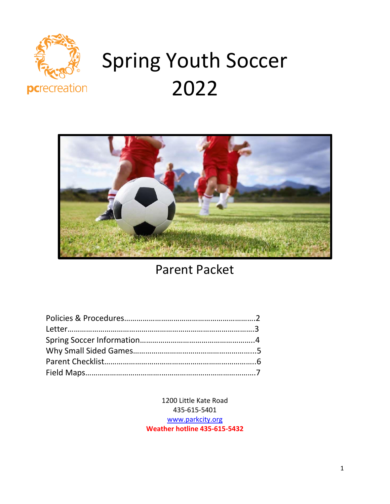

# Spring Youth Soccer 2022



Parent Packet

1200 Little Kate Road 435-615-5401 [www.parkcity.org](http://www.parkcity.org/) **Weather hotline 435-615-5432**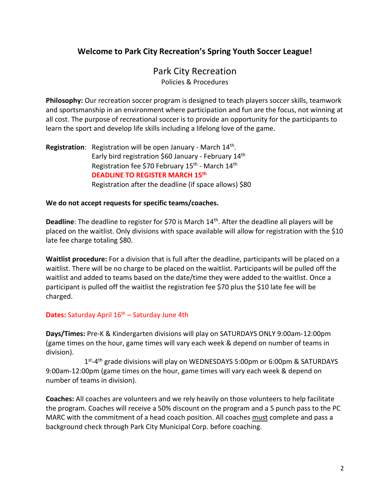# **Welcome to Park City Recreation's Spring Youth Soccer League!**

# Park City Recreation Policies & Procedures

**Philosophy:** Our recreation soccer program is designed to teach players soccer skills, teamwork and sportsmanship in an environment where participation and fun are the focus, not winning at all cost. The purpose of recreational soccer is to provide an opportunity for the participants to learn the sport and develop life skills including a lifelong love of the game.

Registration: Registration will be open January - March 14<sup>th</sup>. Early bird registration \$60 January - February 14<sup>th</sup> Registration fee \$70 February 15<sup>th</sup> - March 14<sup>th</sup> **DEADLINE TO REGISTER MARCH 15th** Registration after the deadline (if space allows) \$80

### **We do not accept requests for specific teams/coaches.**

Deadline: The deadline to register for \$70 is March 14<sup>th</sup>. After the deadline all players will be placed on the waitlist. Only divisions with space available will allow for registration with the \$10 late fee charge totaling \$80.

**Waitlist procedure:** For a division that is full after the deadline, participants will be placed on a waitlist. There will be no charge to be placed on the waitlist. Participants will be pulled off the waitlist and added to teams based on the date/time they were added to the waitlist. Once a participant is pulled off the waitlist the registration fee \$70 plus the \$10 late fee will be charged.

### Dates: Saturday April 16<sup>th</sup> – Saturday June 4th

**Days/Times:** Pre-K & Kindergarten divisions will play on SATURDAYS ONLY 9:00am-12:00pm (game times on the hour, game times will vary each week & depend on number of teams in division).

1<sup>st</sup>-4<sup>th</sup> grade divisions will play on WEDNESDAYS 5:00pm or 6:00pm & SATURDAYS 9:00am-12:00pm (game times on the hour, game times will vary each week & depend on number of teams in division).

**Coaches:** All coaches are volunteers and we rely heavily on those volunteers to help facilitate the program. Coaches will receive a 50% discount on the program and a 5 punch pass to the PC MARC with the commitment of a head coach position. All coaches must complete and pass a background check through Park City Municipal Corp. before coaching.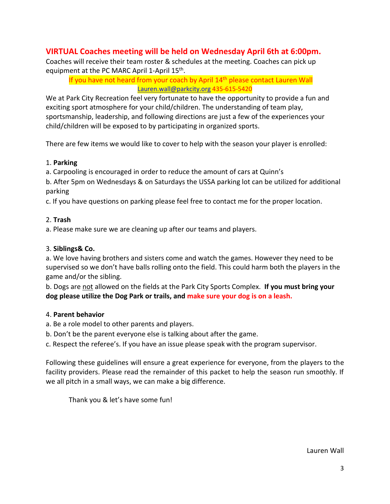# **VIRTUAL Coaches meeting will be held on Wednesday April 6th at 6:00pm.**

Coaches will receive their team roster & schedules at the meeting. Coaches can pick up equipment at the PC MARC April 1-April 15<sup>th</sup>.

If you have not heard from your coach by April 14<sup>th</sup> please contact Lauren Wall [Lauren.wall@parkcity.org](mailto:Lauren.wall@parkcity.org) 435-615-5420

We at Park City Recreation feel very fortunate to have the opportunity to provide a fun and exciting sport atmosphere for your child/children. The understanding of team play, sportsmanship, leadership, and following directions are just a few of the experiences your child/children will be exposed to by participating in organized sports.

There are few items we would like to cover to help with the season your player is enrolled:

### 1. **Parking**

a. Carpooling is encouraged in order to reduce the amount of cars at Quinn's

b. After 5pm on Wednesdays & on Saturdays the USSA parking lot can be utilized for additional parking

c. If you have questions on parking please feel free to contact me for the proper location.

### 2. **Trash**

a. Please make sure we are cleaning up after our teams and players.

### 3. **Siblings& Co.**

a. We love having brothers and sisters come and watch the games. However they need to be supervised so we don't have balls rolling onto the field. This could harm both the players in the game and/or the sibling.

b. Dogs are not allowed on the fields at the Park City Sports Complex. **If you must bring your dog please utilize the Dog Park or trails, and make sure your dog is on a leash.**

### 4. **Parent behavior**

- a. Be a role model to other parents and players.
- b. Don't be the parent everyone else is talking about after the game.

c. Respect the referee's. If you have an issue please speak with the program supervisor.

Following these guidelines will ensure a great experience for everyone, from the players to the facility providers. Please read the remainder of this packet to help the season run smoothly. If we all pitch in a small ways, we can make a big difference.

Thank you & let's have some fun!

Lauren Wall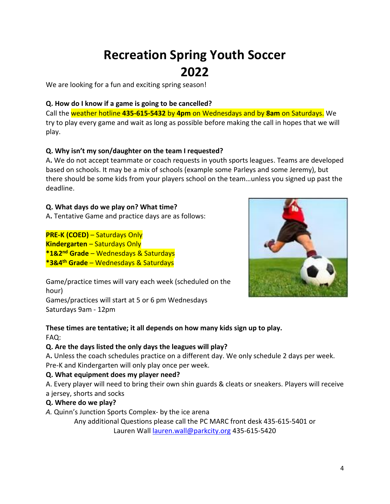# **Recreation Spring Youth Soccer 2022**

We are looking for a fun and exciting spring season!

### **Q. How do I know if a game is going to be cancelled?**

Call the weather hotline **435-615-5432** by **4pm** on Wednesdays and by **8am** on Saturdays. We try to play every game and wait as long as possible before making the call in hopes that we will play.

### **Q. Why isn't my son/daughter on the team I requested?**

A**.** We do not accept teammate or coach requests in youth sports leagues. Teams are developed based on schools. It may be a mix of schools (example some Parleys and some Jeremy), but there should be some kids from your players school on the team…unless you signed up past the deadline.

### **Q. What days do we play on? What time?**

A**.** Tentative Game and practice days are as follows:

**PRE-K (COED)** – Saturdays Only **Kindergarten** – Saturdays Only **\*1&2 nd Grade** – Wednesdays & Saturdays **\*3&4 th Grade** – Wednesdays & Saturdays



Game/practice times will vary each week (scheduled on the hour)

Games/practices will start at 5 or 6 pm Wednesdays Saturdays 9am - 12pm

### **These times are tentative; it all depends on how many kids sign up to play.**  FAQ:

### **Q. Are the days listed the only days the leagues will play?**

A**.** Unless the coach schedules practice on a different day. We only schedule 2 days per week. Pre-K and Kindergarten will only play once per week.

# **Q. What equipment does my player need?**

A. Every player will need to bring their own shin guards & cleats or sneakers. Players will receive a jersey, shorts and socks

### **Q. Where do we play?**

*A.* Quinn's Junction Sports Complex- by the ice arena

Any additional Questions please call the PC MARC front desk 435-615-5401 or Lauren Wall [lauren.wall@parkcity.org](mailto:lauren.wall@parkcity.org) 435-615-5420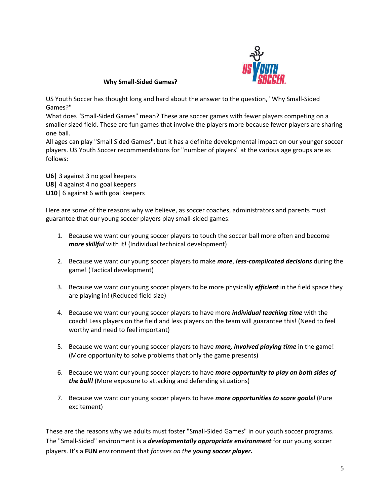

**Why Small-Sided Games?** 

US Youth Soccer has thought long and hard about the answer to the question, "Why Small-Sided Games?"

What does "Small-Sided Games" mean? These are soccer games with fewer players competing on a smaller sized field. These are fun games that involve the players more because fewer players are sharing one ball.

All ages can play "Small Sided Games", but it has a definite developmental impact on our younger soccer players. US Youth Soccer recommendations for "number of players" at the various age groups are as follows:

**U6**| 3 against 3 no goal keepers **U8**| 4 against 4 no goal keepers **U10**| 6 against 6 with goal keepers

Here are some of the reasons why we believe, as soccer coaches, administrators and parents must guarantee that our young soccer players play small-sided games:

- 1. Because we want our young soccer players to touch the soccer ball more often and become *more skillful* with it! (Individual technical development)
- 2. Because we want our young soccer players to make *more*, *less-complicated decisions* during the game! (Tactical development)
- 3. Because we want our young soccer players to be more physically *efficient* in the field space they are playing in! (Reduced field size)
- 4. Because we want our young soccer players to have more *individual teaching time* with the coach! Less players on the field and less players on the team will guarantee this! (Need to feel worthy and need to feel important)
- 5. Because we want our young soccer players to have *more, involved playing time* in the game! (More opportunity to solve problems that only the game presents)
- 6. Because we want our young soccer players to have *more opportunity to play on both sides of the ball!* (More exposure to attacking and defending situations)
- 7. Because we want our young soccer players to have *more opportunities to score goals!* (Pure excitement)

These are the reasons why we adults must foster "Small-Sided Games" in our youth soccer programs. The "Small-Sided" environment is a *developmentally appropriate environment* for our young soccer players. It's a **FUN** environment that *focuses on the young soccer player.*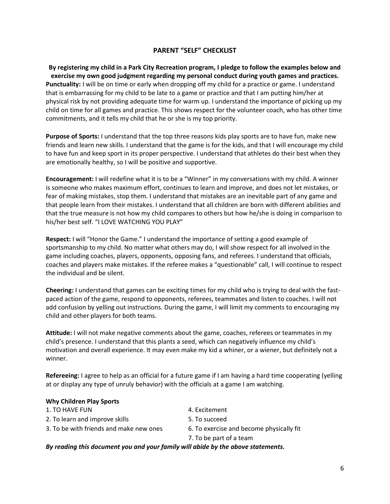### **PARENT "SELF" CHECKLIST**

**By registering my child in a Park City Recreation program, I pledge to follow the examples below and exercise my own good judgment regarding my personal conduct during youth games and practices. Punctuality:** I will be on time or early when dropping off my child for a practice or game. I understand that is embarrassing for my child to be late to a game or practice and that I am putting him/her at physical risk by not providing adequate time for warm up. I understand the importance of picking up my child on time for all games and practice. This shows respect for the volunteer coach, who has other time commitments, and it tells my child that he or she is my top priority.

**Purpose of Sports:** I understand that the top three reasons kids play sports are to have fun, make new friends and learn new skills. I understand that the game is for the kids, and that I will encourage my child to have fun and keep sport in its proper perspective. I understand that athletes do their best when they are emotionally healthy, so I will be positive and supportive.

**Encouragement:** I will redefine what it is to be a "Winner" in my conversations with my child. A winner is someone who makes maximum effort, continues to learn and improve, and does not let mistakes, or fear of making mistakes, stop them. I understand that mistakes are an inevitable part of any game and that people learn from their mistakes. I understand that all children are born with different abilities and that the true measure is not how my child compares to others but how he/she is doing in comparison to his/her best self. "I LOVE WATCHING YOU PLAY"

**Respect:** I will "Honor the Game." I understand the importance of setting a good example of sportsmanship to my child. No matter what others may do, I will show respect for all involved in the game including coaches, players, opponents, opposing fans, and referees. I understand that officials, coaches and players make mistakes. If the referee makes a "questionable" call, I will continue to respect the individual and be silent.

**Cheering:** I understand that games can be exciting times for my child who is trying to deal with the fastpaced action of the game, respond to opponents, referees, teammates and listen to coaches. I will not add confusion by yelling out instructions. During the game, I will limit my comments to encouraging my child and other players for both teams.

**Attitude:** I will not make negative comments about the game, coaches, referees or teammates in my child's presence. I understand that this plants a seed, which can negatively influence my child's motivation and overall experience. It may even make my kid a whiner, or a wiener, but definitely not a winner.

**Refereeing:** I agree to help as an official for a future game if I am having a hard time cooperating (yelling at or display any type of unruly behavior) with the officials at a game I am watching.

#### **Why Children Play Sports**

| By reading this document you and your family will abide by the above statements. |                                          |  |
|----------------------------------------------------------------------------------|------------------------------------------|--|
|                                                                                  | 7. To be part of a team                  |  |
| 3. To be with friends and make new ones                                          | 6. To exercise and become physically fit |  |
| 2. To learn and improve skills                                                   | 5. To succeed                            |  |
| 1. TO HAVE FUN                                                                   | 4. Excitement                            |  |
|                                                                                  |                                          |  |